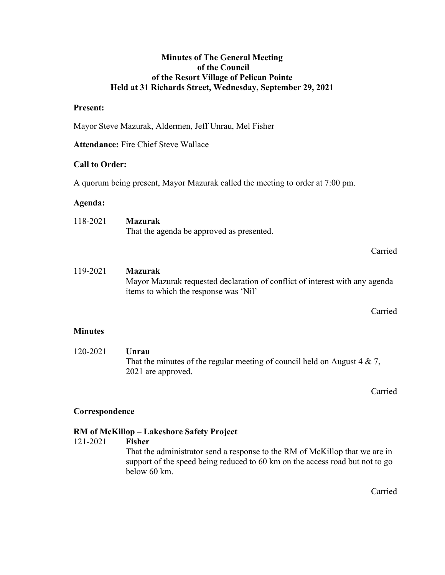## Minutes of The General Meeting of the Council of the Resort Village of Pelican Pointe Held at 31 Richards Street, Wednesday, September 29, 2021

## Present:

Mayor Steve Mazurak, Aldermen, Jeff Unrau, Mel Fisher

Attendance: Fire Chief Steve Wallace

## Call to Order:

A quorum being present, Mayor Mazurak called the meeting to order at 7:00 pm.

## Agenda:

118-2021 Mazurak That the agenda be approved as presented.

Carried

# 119-2021 Mazurak Mayor Mazurak requested declaration of conflict of interest with any agenda items to which the response was 'Nil'

Carried

## **Minutes**

 120-2021 Unrau That the minutes of the regular meeting of council held on August  $4 \& 7$ , 2021 are approved.

Carried

# Correspondence

# RM of McKillop – Lakeshore Safety Project

## 121-2021 Fisher

 That the administrator send a response to the RM of McKillop that we are in support of the speed being reduced to 60 km on the access road but not to go below 60 km.

Carried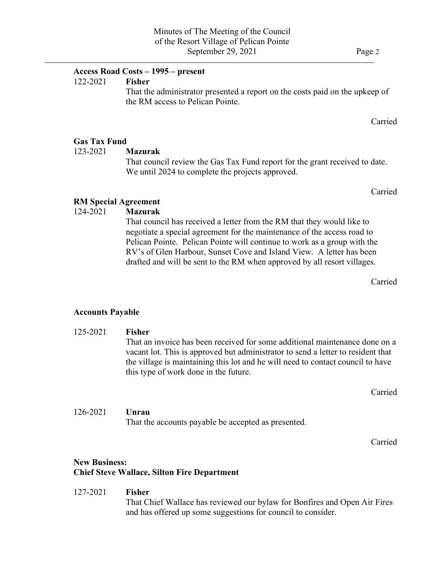## $\overline{a}$ Access Road Costs – 1995 – present

#### 122-2021 Fisher

That the administrator presented a report on the costs paid on the upkeep of the RM access to Pelican Pointe.

Carried

# Gas Tax Fund

123-2021 Mazurak

 That council review the Gas Tax Fund report for the grant received to date. We until 2024 to complete the projects approved.

Carried

## RM Special Agreement

# 124-2021 Mazurak

 That council has received a letter from the RM that they would like to negotiate a special agreement for the maintenance of the access road to Pelican Pointe. Pelican Pointe will continue to work as a group with the RV's of Glen Harbour, Sunset Cove and Island View. A letter has been drafted and will be sent to the RM when approved by all resort villages.

Carried

### Accounts Payable

# 125-2021 Fisher That an invoice has been received for some additional maintenance done on a vacant lot. This is approved but administrator to send a letter to resident that the village is maintaining this lot and he will need to contact council to have this type of work done in the future.

Carried

### 126-2021 Unrau

That the accounts payable be accepted as presented.

Carried

# New Business: Chief Steve Wallace, Silton Fire Department

#### 127-2021 Fisher

 That Chief Wallace has reviewed our bylaw for Bonfires and Open Air Fires and has offered up some suggestions for council to consider.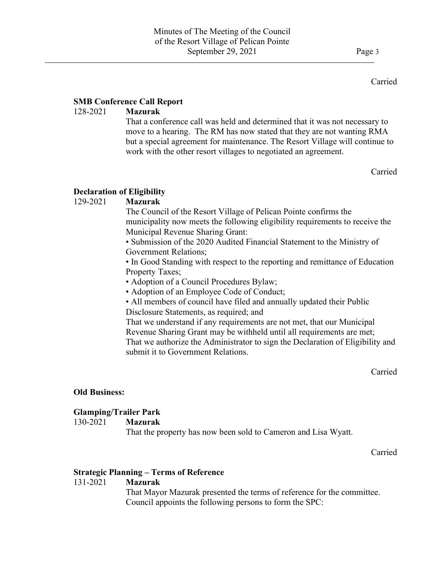### Carried

# SMB Conference Call Report

 $\overline{a}$ 

# 128-2021 Mazurak

That a conference call was held and determined that it was not necessary to move to a hearing. The RM has now stated that they are not wanting RMA but a special agreement for maintenance. The Resort Village will continue to work with the other resort villages to negotiated an agreement.

Carried

# Declaration of Eligibility

## 129-2021 Mazurak

 The Council of the Resort Village of Pelican Pointe confirms the municipality now meets the following eligibility requirements to receive the Municipal Revenue Sharing Grant:

• Submission of the 2020 Audited Financial Statement to the Ministry of Government Relations;

• In Good Standing with respect to the reporting and remittance of Education Property Taxes;

• Adoption of a Council Procedures Bylaw;

• Adoption of an Employee Code of Conduct;

• All members of council have filed and annually updated their Public Disclosure Statements, as required; and

That we understand if any requirements are not met, that our Municipal Revenue Sharing Grant may be withheld until all requirements are met; That we authorize the Administrator to sign the Declaration of Eligibility and submit it to Government Relations.

Carried

# Old Business:

# Glamping/Trailer Park

## 130-2021 Mazurak

That the property has now been sold to Cameron and Lisa Wyatt.

Carried

## Strategic Planning – Terms of Reference

## 131-2021 Mazurak

 That Mayor Mazurak presented the terms of reference for the committee. Council appoints the following persons to form the SPC: